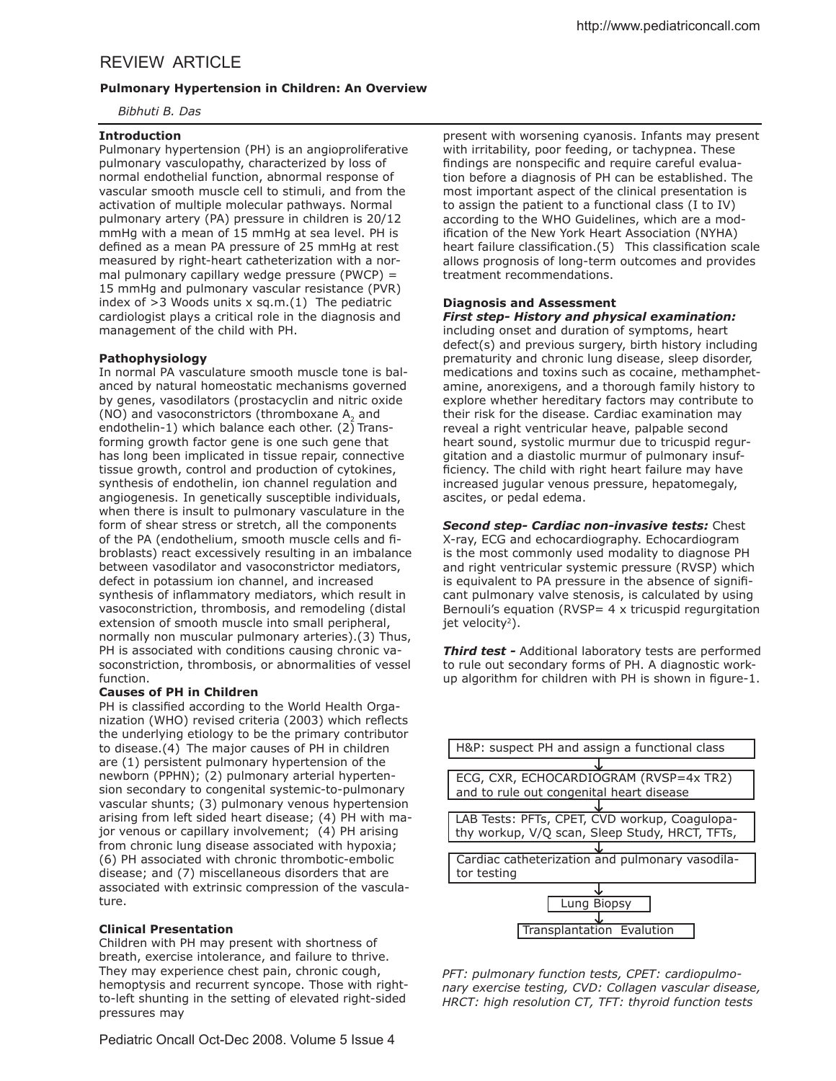### *Bibhuti B. Das*

## **Introduction**

Pulmonary hypertension (PH) is an angioproliferative pulmonary vasculopathy, characterized by loss of normal endothelial function, abnormal response of vascular smooth muscle cell to stimuli, and from the activation of multiple molecular pathways. Normal pulmonary artery (PA) pressure in children is 20/12 mmHg with a mean of 15 mmHg at sea level. PH is defined as a mean PA pressure of 25 mmHg at rest measured by right-heart catheterization with a normal pulmonary capillary wedge pressure (PWCP) = 15 mmHg and pulmonary vascular resistance (PVR) index of  $>3$  Woods units x sq.m.(1) The pediatric cardiologist plays a critical role in the diagnosis and management of the child with PH.

### **Pathophysiology**

In normal PA vasculature smooth muscle tone is balanced by natural homeostatic mechanisms governed by genes, vasodilators (prostacyclin and nitric oxide (NO) and vasoconstrictors (thromboxane  $A_2$  and endothelin-1) which balance each other.  $(2)$  Transforming growth factor gene is one such gene that has long been implicated in tissue repair, connective tissue growth, control and production of cytokines, synthesis of endothelin, ion channel regulation and angiogenesis. In genetically susceptible individuals, when there is insult to pulmonary vasculature in the form of shear stress or stretch, all the components of the PA (endothelium, smooth muscle cells and fibroblasts) react excessively resulting in an imbalance between vasodilator and vasoconstrictor mediators, defect in potassium ion channel, and increased synthesis of inflammatory mediators, which result in vasoconstriction, thrombosis, and remodeling (distal extension of smooth muscle into small peripheral, normally non muscular pulmonary arteries).(3) Thus, PH is associated with conditions causing chronic vasoconstriction, thrombosis, or abnormalities of vessel function.

### **Causes of PH in Children**

PH is classified according to the World Health Organization (WHO) revised criteria (2003) which reflects the underlying etiology to be the primary contributor to disease.(4) The major causes of PH in children are (1) persistent pulmonary hypertension of the newborn (PPHN); (2) pulmonary arterial hypertension secondary to congenital systemic-to-pulmonary vascular shunts; (3) pulmonary venous hypertension arising from left sided heart disease; (4) PH with major venous or capillary involvement; (4) PH arising from chronic lung disease associated with hypoxia; (6) PH associated with chronic thrombotic-embolic disease; and (7) miscellaneous disorders that are associated with extrinsic compression of the vasculature.

## **Clinical Presentation**

Children with PH may present with shortness of breath, exercise intolerance, and failure to thrive. They may experience chest pain, chronic cough, hemoptysis and recurrent syncope. Those with rightto-left shunting in the setting of elevated right-sided pressures may

Pediatric Oncall Oct-Dec 2008. Volume 5 Issue 4

present with worsening cyanosis. Infants may present with irritability, poor feeding, or tachypnea. These findings are nonspecific and require careful evaluation before a diagnosis of PH can be established. The most important aspect of the clinical presentation is to assign the patient to a functional class (I to IV) according to the WHO Guidelines, which are a modification of the New York Heart Association (NYHA) heart failure classification.(5) This classification scale allows prognosis of long-term outcomes and provides treatment recommendations.

# **Diagnosis and Assessment**

*First step- History and physical examination:* including onset and duration of symptoms, heart defect(s) and previous surgery, birth history including prematurity and chronic lung disease, sleep disorder, medications and toxins such as cocaine, methamphetamine, anorexigens, and a thorough family history to explore whether hereditary factors may contribute to their risk for the disease. Cardiac examination may reveal a right ventricular heave, palpable second heart sound, systolic murmur due to tricuspid regurgitation and a diastolic murmur of pulmonary insufficiency. The child with right heart failure may have increased jugular venous pressure, hepatomegaly, ascites, or pedal edema.

## *Second step- Cardiac non-invasive tests:* Chest

X-ray, ECG and echocardiography. Echocardiogram is the most commonly used modality to diagnose PH and right ventricular systemic pressure (RVSP) which is equivalent to PA pressure in the absence of significant pulmonary valve stenosis, is calculated by using Bernouli's equation (RVSP=  $4 \times$  tricuspid regurgitation jet velocity $2$ ).

*Third test -* Additional laboratory tests are performed to rule out secondary forms of PH. A diagnostic workup algorithm for children with PH is shown in figure-1.



*PFT: pulmonary function tests, CPET: cardiopulmonary exercise testing, CVD: Collagen vascular disease, HRCT: high resolution CT, TFT: thyroid function tests*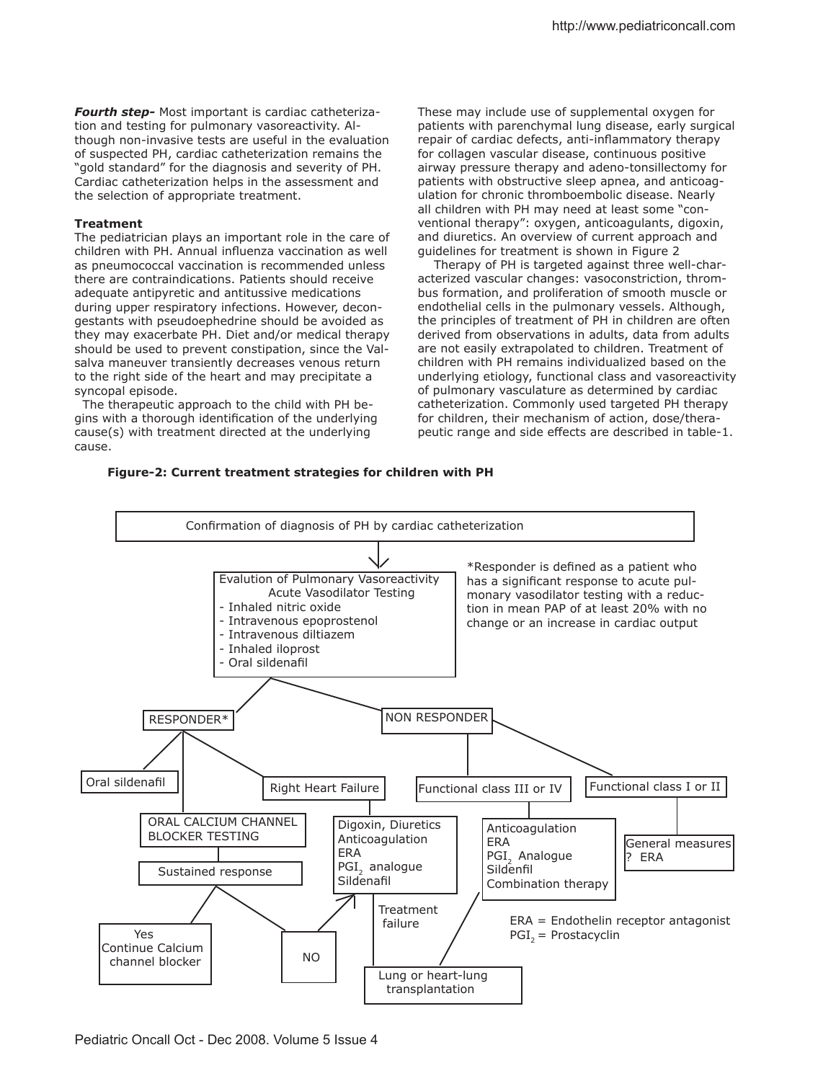*Fourth step-* Most important is cardiac catheterization and testing for pulmonary vasoreactivity. Although non-invasive tests are useful in the evaluation of suspected PH, cardiac catheterization remains the "gold standard" for the diagnosis and severity of PH. Cardiac catheterization helps in the assessment and the selection of appropriate treatment.

#### **Treatment**

The pediatrician plays an important role in the care of children with PH. Annual influenza vaccination as well as pneumococcal vaccination is recommended unless there are contraindications. Patients should receive adequate antipyretic and antitussive medications during upper respiratory infections. However, decongestants with pseudoephedrine should be avoided as they may exacerbate PH. Diet and/or medical therapy should be used to prevent constipation, since the Valsalva maneuver transiently decreases venous return to the right side of the heart and may precipitate a syncopal episode.

 The therapeutic approach to the child with PH begins with a thorough identification of the underlying cause(s) with treatment directed at the underlying cause.

These may include use of supplemental oxygen for patients with parenchymal lung disease, early surgical repair of cardiac defects, anti-inflammatory therapy for collagen vascular disease, continuous positive airway pressure therapy and adeno-tonsillectomy for patients with obstructive sleep apnea, and anticoagulation for chronic thromboembolic disease. Nearly all children with PH may need at least some "conventional therapy": oxygen, anticoagulants, digoxin, and diuretics. An overview of current approach and guidelines for treatment is shown in Figure 2

 Therapy of PH is targeted against three well-characterized vascular changes: vasoconstriction, thrombus formation, and proliferation of smooth muscle or endothelial cells in the pulmonary vessels. Although, the principles of treatment of PH in children are often derived from observations in adults, data from adults are not easily extrapolated to children. Treatment of children with PH remains individualized based on the underlying etiology, functional class and vasoreactivity of pulmonary vasculature as determined by cardiac catheterization. Commonly used targeted PH therapy for children, their mechanism of action, dose/therapeutic range and side efects are described in table-1.

#### **Figure-2: Current treatment strategies for children with PH**